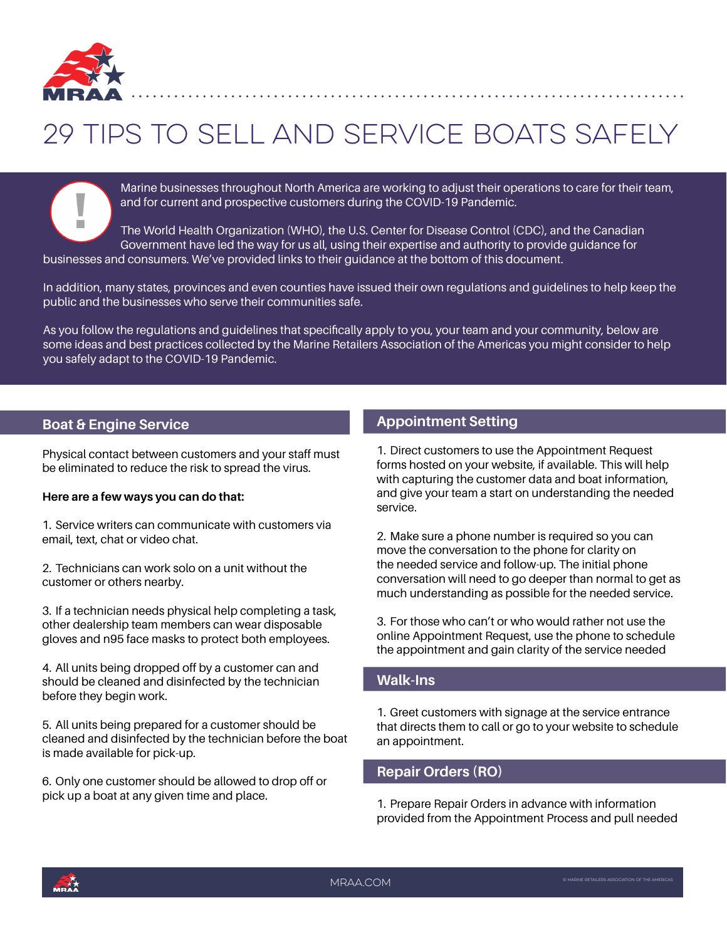

# 29 Tips To Sell and Service Boats Safely

Marine businesses throughout North America are working to adjust their operations to care for their team, and for current and prospective customers during the COVID-19 Pandemic.

m. The World Health Organization (WHO), the U.S. Center for Disease Control (CDC), and the Canadian Government have led the way for us all, using their expertise and authority to provide guidance for businesses and consumers. We've provided links to their guidance at the bottom of this document.

In addition, many states, provinces and even counties have issued their own regulations and guidelines to help keep the public and the businesses who serve their communities safe.

As you follow the regulations and guidelines that specifically apply to you, your team and your community, below are some ideas and best practices collected by the Marine Retailers Association of the Americas you might consider to help you safely adapt to the COVID-19 Pandemic.

### **Boat & Engine Service**

Physical contact between customers and your staff must be eliminated to reduce the risk to spread the virus.

#### **Here are a few ways you can do that:**

1. Service writers can communicate with customers via email, text, chat or video chat.

2. Technicians can work solo on a unit without the customer or others nearby.

3. If a technician needs physical help completing a task, other dealership team members can wear disposable gloves and n95 face masks to protect both employees.

4. All units being dropped off by a customer can and should be cleaned and disinfected by the technician before they begin work.

5. All units being prepared for a customer should be cleaned and disinfected by the technician before the boat is made available for pick-up.

6. Only one customer should be allowed to drop off or pick up a boat at any given time and place.

## **Appointment Setting**

1. Direct customers to use the Appointment Request forms hosted on your website, if available. This will help with capturing the customer data and boat information, and give your team a start on understanding the needed service.

2. Make sure a phone number is required so you can move the conversation to the phone for clarity on the needed service and follow-up. The initial phone conversation will need to go deeper than normal to get as much understanding as possible for the needed service.

3. For those who can't or who would rather not use the online Appointment Request, use the phone to schedule the appointment and gain clarity of the service needed

#### **Walk-Ins**

1. Greet customers with signage at the service entrance that directs them to call or go to your website to schedule an appointment.

### **Repair Orders (RO)**

1. Prepare Repair Orders in advance with information provided from the Appointment Process and pull needed

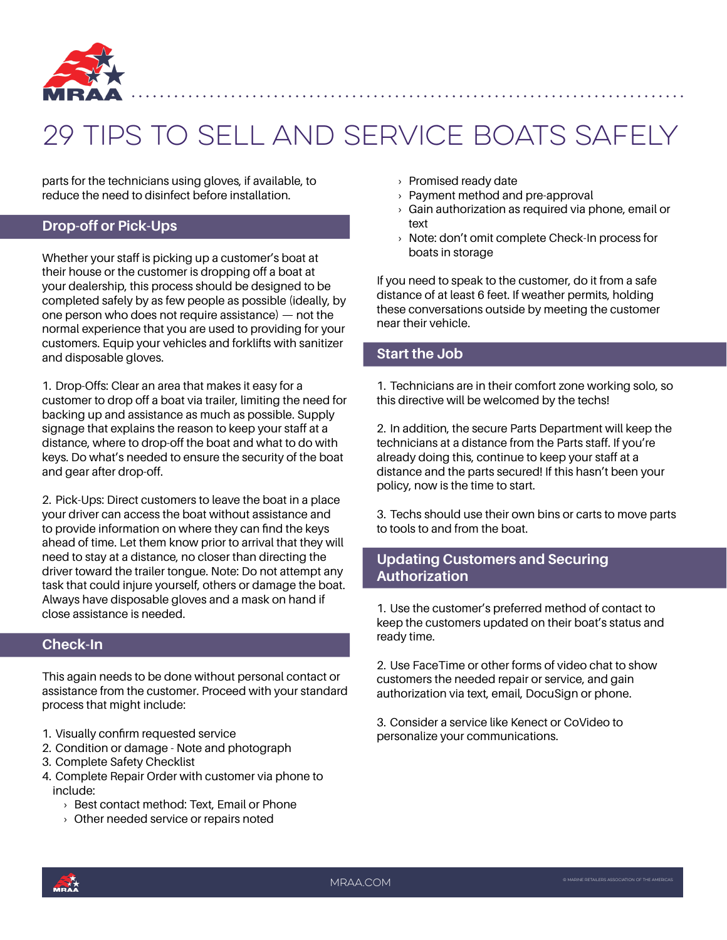

# 29 Tips To Sell and Service Boats Safely

parts for the technicians using gloves, if available, to reduce the need to disinfect before installation.

### **Drop-off or Pick-Ups**

Whether your staff is picking up a customer's boat at their house or the customer is dropping off a boat at your dealership, this process should be designed to be completed safely by as few people as possible (ideally, by one person who does not require assistance) — not the normal experience that you are used to providing for your customers. Equip your vehicles and forklifts with sanitizer and disposable gloves.

1. Drop-Offs: Clear an area that makes it easy for a customer to drop off a boat via trailer, limiting the need for backing up and assistance as much as possible. Supply signage that explains the reason to keep your staff at a distance, where to drop-off the boat and what to do with keys. Do what's needed to ensure the security of the boat and gear after drop-off.

2. Pick-Ups: Direct customers to leave the boat in a place your driver can access the boat without assistance and to provide information on where they can find the keys ahead of time. Let them know prior to arrival that they will need to stay at a distance, no closer than directing the driver toward the trailer tongue. Note: Do not attempt any task that could injure yourself, others or damage the boat. Always have disposable gloves and a mask on hand if close assistance is needed.

### **Check-In**

This again needs to be done without personal contact or assistance from the customer. Proceed with your standard process that might include:

- 1. Visually confirm requested service
- 2. Condition or damage Note and photograph
- 3. Complete Safety Checklist
- 4. Complete Repair Order with customer via phone to include:
	- › Best contact method: Text, Email or Phone
	- › Other needed service or repairs noted
- › Promised ready date
- › Payment method and pre-approval
- $\rightarrow$  Gain authorization as required via phone, email or text
- › Note: don't omit complete Check-In process for boats in storage

If you need to speak to the customer, do it from a safe distance of at least 6 feet. If weather permits, holding these conversations outside by meeting the customer near their vehicle.

#### **Start the Job**

1. Technicians are in their comfort zone working solo, so this directive will be welcomed by the techs!

2. In addition, the secure Parts Department will keep the technicians at a distance from the Parts staff. If you're already doing this, continue to keep your staff at a distance and the parts secured! If this hasn't been your policy, now is the time to start.

3. Techs should use their own bins or carts to move parts to tools to and from the boat.

### **Updating Customers and Securing Authorization**

1. Use the customer's preferred method of contact to keep the customers updated on their boat's status and ready time.

2. Use FaceTime or other forms of video chat to show customers the needed repair or service, and gain authorization via text, email, DocuSign or phone.

3. Consider a service like Kenect or CoVideo to personalize your communications.